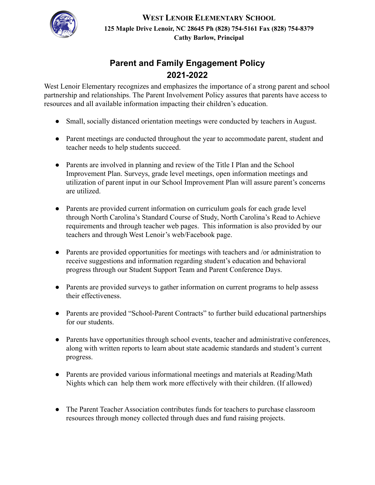

**WEST LENOIR ELEMENTARY SCHOOL 125 Maple Drive Lenoir, NC 28645 Ph (828) 754-5161 Fax (828) 754-8379 Cathy Barlow, Principal**

## **Parent and Family Engagement Policy 2021-2022**

West Lenoir Elementary recognizes and emphasizes the importance of a strong parent and school partnership and relationships. The Parent Involvement Policy assures that parents have access to resources and all available information impacting their children's education.

- Small, socially distanced orientation meetings were conducted by teachers in August.
- Parent meetings are conducted throughout the year to accommodate parent, student and teacher needs to help students succeed.
- Parents are involved in planning and review of the Title I Plan and the School Improvement Plan. Surveys, grade level meetings, open information meetings and utilization of parent input in our School Improvement Plan will assure parent's concerns are utilized.
- Parents are provided current information on curriculum goals for each grade level through North Carolina's Standard Course of Study, North Carolina's Read to Achieve requirements and through teacher web pages. This information is also provided by our teachers and through West Lenoir's web/Facebook page.
- Parents are provided opportunities for meetings with teachers and /or administration to receive suggestions and information regarding student's education and behavioral progress through our Student Support Team and Parent Conference Days.
- Parents are provided surveys to gather information on current programs to help assess their effectiveness.
- Parents are provided "School-Parent Contracts" to further build educational partnerships for our students.
- Parents have opportunities through school events, teacher and administrative conferences, along with written reports to learn about state academic standards and student's current progress.
- Parents are provided various informational meetings and materials at Reading/Math Nights which can help them work more effectively with their children. (If allowed)
- The Parent Teacher Association contributes funds for teachers to purchase classroom resources through money collected through dues and fund raising projects.